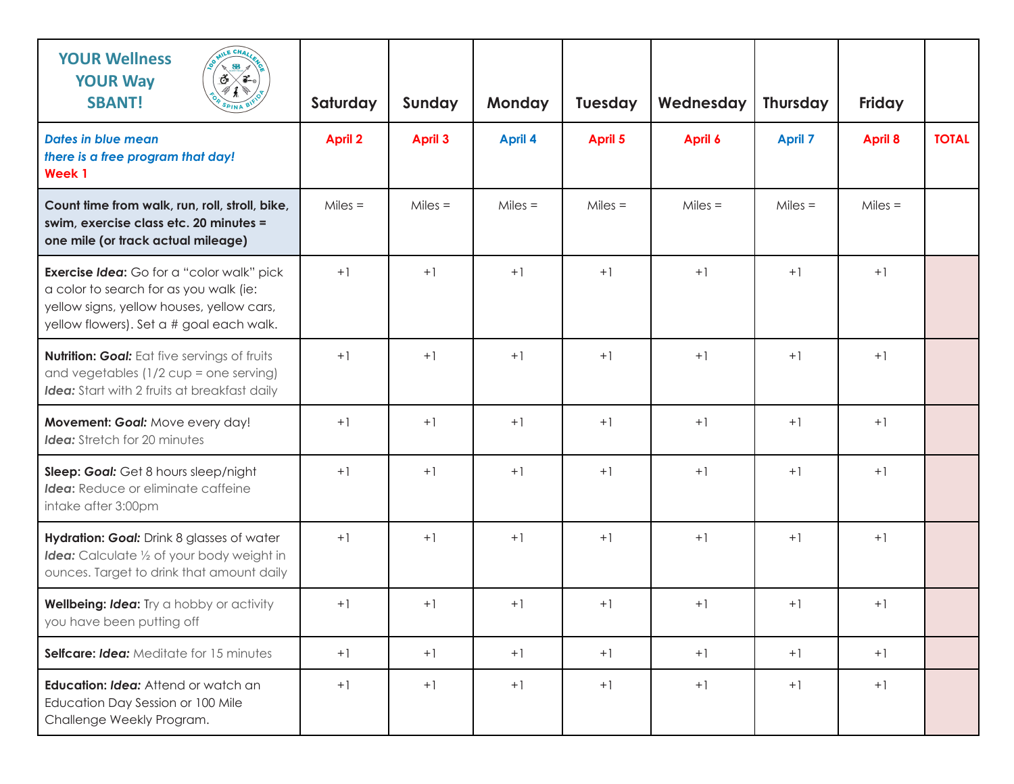| <b>YOUR Wellness</b><br>SB <sub>1</sub><br>$ \delta\rangle$<br>√3-.<br><b>YOUR Way</b><br><b>SBANT!</b>                                                                             | Saturday       | Sunday         | Monday         | <b>Tuesday</b> | Wednesday | <b>Thursday</b> | Friday         |              |
|-------------------------------------------------------------------------------------------------------------------------------------------------------------------------------------|----------------|----------------|----------------|----------------|-----------|-----------------|----------------|--------------|
| <b>Dates in blue mean</b><br>there is a free program that day!<br>Week 1                                                                                                            | <b>April 2</b> | <b>April 3</b> | <b>April 4</b> | April 5        | April 6   | <b>April 7</b>  | <b>April 8</b> | <b>TOTAL</b> |
| Count time from walk, run, roll, stroll, bike,<br>swim, exercise class etc. 20 minutes =<br>one mile (or track actual mileage)                                                      | $Miles =$      | $Miles =$      | $Miles =$      | $Miles =$      | $Miles =$ | $Miles =$       | $Miles =$      |              |
| <b>Exercise Idea:</b> Go for a "color walk" pick<br>a color to search for as you walk (ie:<br>yellow signs, yellow houses, yellow cars,<br>yellow flowers). Set a # goal each walk. | $+1$           | $+1$           | $+1$           | $+1$           | $+1$      | $+1$            | $+1$           |              |
| Nutrition: Goal: Eat five servings of fruits<br>and vegetables $(1/2$ cup = one serving)<br>Idea: Start with 2 fruits at breakfast daily                                            | $+1$           | $+1$           | $+1$           | $+1$           | $+1$      | $+1$            | $+1$           |              |
| Movement: Goal: Move every day!<br><b>Idea:</b> Stretch for 20 minutes                                                                                                              | $+1$           | $+1$           | $+1$           | $+1$           | $+1$      | $+1$            | $+1$           |              |
| Sleep: Goal: Get 8 hours sleep/night<br>Idea: Reduce or eliminate caffeine<br>intake after 3:00pm                                                                                   | $+1$           | $+1$           | $+1$           | $+1$           | $+1$      | $+1$            | $+1$           |              |
| Hydration: Goal: Drink 8 glasses of water<br><b>Idea:</b> Calculate 1/2 of your body weight in<br>ounces. Target to drink that amount daily                                         | $+1$           | $+1$           | $+1$           | $+1$           | $+1$      | $+1$            | $+1$           |              |
| Wellbeing: Idea: Try a hobby or activity<br>you have been putting off                                                                                                               | $+1$           | $+1$           | $+1$           | $+1$           | $+1$      | $+1$            | $+1$           |              |
| Selfcare: Idea: Meditate for 15 minutes                                                                                                                                             | $+1$           | $+1$           | $+1$           | $+1$           | $+1$      | $+1$            | $+1$           |              |
| Education: Idea: Attend or watch an<br>Education Day Session or 100 Mile<br>Challenge Weekly Program.                                                                               | $+1$           | $+1$           | $+1$           | $+1$           | $+1$      | $+1$            | $+1$           |              |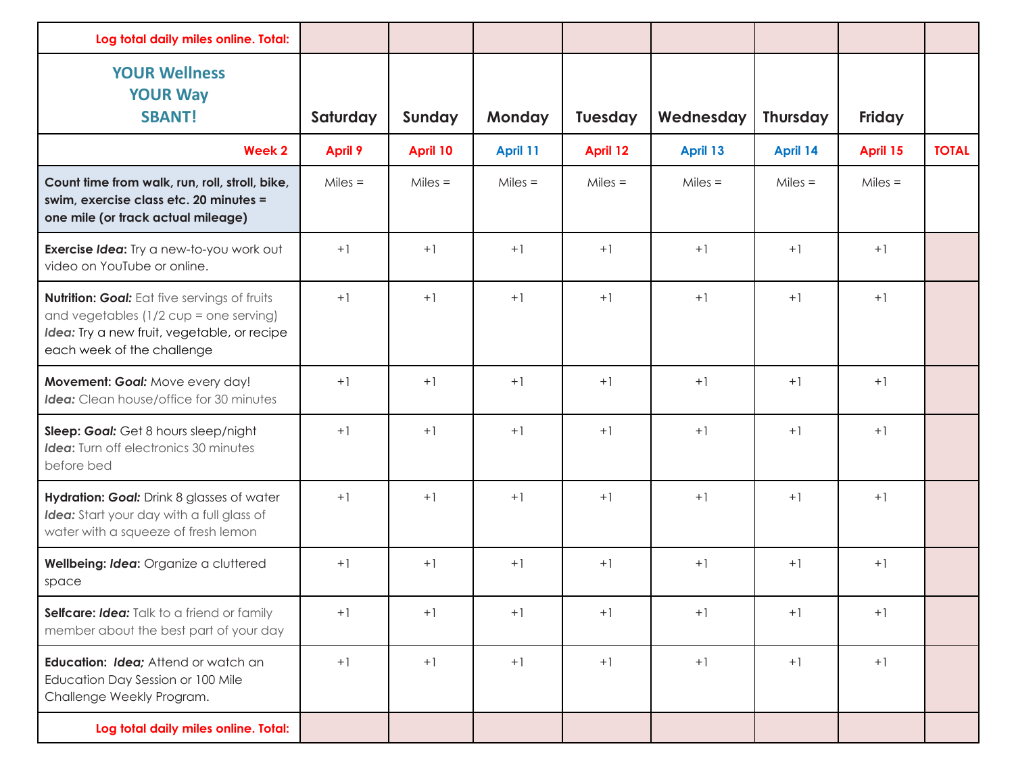| Log total daily miles online. Total:                                                                                                                                  |                |           |               |                |           |                 |               |              |
|-----------------------------------------------------------------------------------------------------------------------------------------------------------------------|----------------|-----------|---------------|----------------|-----------|-----------------|---------------|--------------|
| <b>YOUR Wellness</b><br><b>YOUR Way</b><br><b>SBANT!</b>                                                                                                              | Saturday       | Sunday    | <b>Monday</b> | <b>Tuesday</b> | Wednesday | <b>Thursday</b> | <b>Friday</b> |              |
| Week 2                                                                                                                                                                | <b>April 9</b> | April 10  | April 11      | April 12       | April 13  | April 14        | April 15      | <b>TOTAL</b> |
| Count time from walk, run, roll, stroll, bike,<br>swim, exercise class etc. 20 minutes =<br>one mile (or track actual mileage)                                        | $Miles =$      | $Miles =$ | $Miles =$     | $Miles =$      | $Miles =$ | $Miles =$       | $Miles =$     |              |
| Exercise Idea: Try a new-to-you work out<br>video on YouTube or online.                                                                                               | $+1$           | $+1$      | $+1$          | $+1$           | $+1$      | $+1$            | $+1$          |              |
| Nutrition: Goal: Eat five servings of fruits<br>and vegetables $(1/2$ cup = one serving)<br>Idea: Try a new fruit, vegetable, or recipe<br>each week of the challenge | $+1$           | $+1$      | $+1$          | $+1$           | $+1$      | $+1$            | $+1$          |              |
| Movement: Goal: Move every day!<br><b>Idea:</b> Clean house/office for 30 minutes                                                                                     | $+1$           | $+1$      | $+1$          | $+1$           | $+1$      | $+1$            | $+1$          |              |
| Sleep: Goal: Get 8 hours sleep/night<br><b>Idea:</b> Turn off electronics 30 minutes<br>before bed                                                                    | $+1$           | $+1$      | $+1$          | $+1$           | $+1$      | $+1$            | $+1$          |              |
| Hydration: Goal: Drink 8 glasses of water<br>Idea: Start your day with a full glass of<br>water with a squeeze of fresh lemon                                         | $+1$           | $+1$      | $+1$          | $+1$           | $+1$      | $+1$            | $+1$          |              |
| Wellbeing: Idea: Organize a cluttered<br>space                                                                                                                        | $+1$           | $+1$      | $+1$          | $+1$           | $+1$      | $+1$            | $+1$          |              |
| Selfcare: Idea: Talk to a friend or family<br>member about the best part of your day                                                                                  | $+1$           | $+1$      | $+1$          | $+1$           | $+1$      | $+1$            | $+1$          |              |
| Education: Idea: Attend or watch an<br>Education Day Session or 100 Mile<br>Challenge Weekly Program.                                                                 | $+1$           | $+1$      | $+1$          | $+1$           | $+1$      | $+1$            | $+1$          |              |
| Log total daily miles online. Total:                                                                                                                                  |                |           |               |                |           |                 |               |              |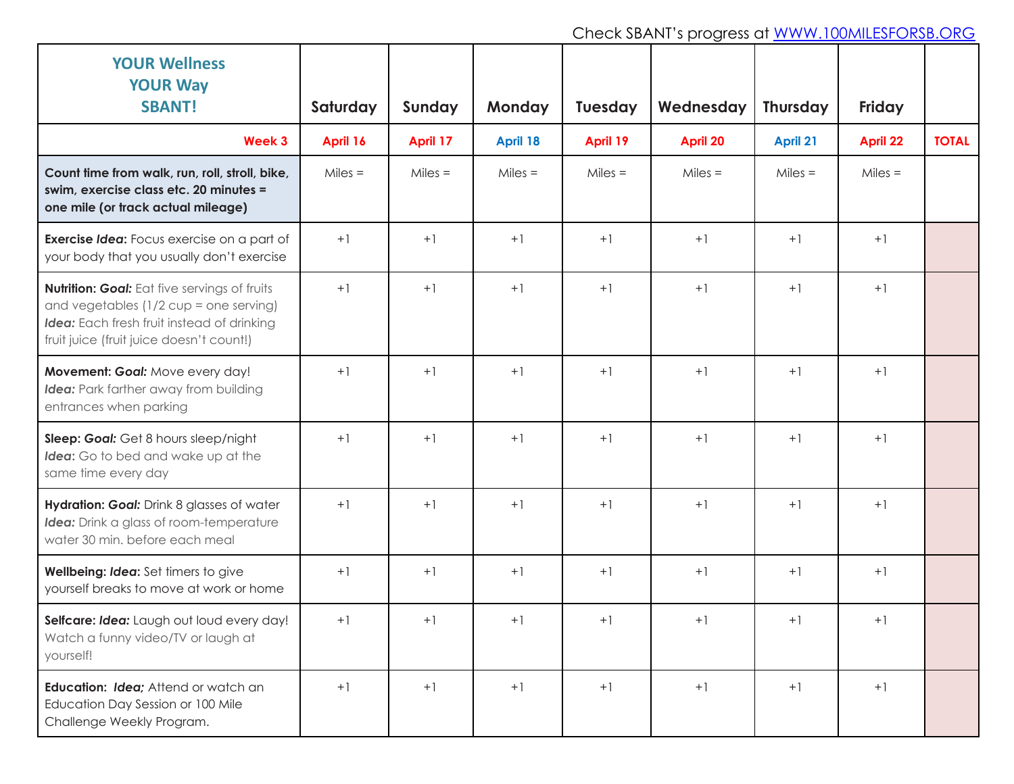| <b>YOUR Wellness</b><br><b>YOUR Way</b>                                                                                                                                                   |           |           |               |                |                 |                 |                 |              |
|-------------------------------------------------------------------------------------------------------------------------------------------------------------------------------------------|-----------|-----------|---------------|----------------|-----------------|-----------------|-----------------|--------------|
| <b>SBANT!</b>                                                                                                                                                                             | Saturday  | Sunday    | <b>Monday</b> | <b>Tuesday</b> | Wednesday       | <b>Thursday</b> | <b>Friday</b>   |              |
| Week 3                                                                                                                                                                                    | April 16  | April 17  | April 18      | April 19       | <b>April 20</b> | <b>April 21</b> | <b>April 22</b> | <b>TOTAL</b> |
| Count time from walk, run, roll, stroll, bike,<br>swim, exercise class etc. 20 minutes =<br>one mile (or track actual mileage)                                                            | $Miles =$ | $Miles =$ | $Miles =$     | $Miles =$      | $Miles =$       | $Miles =$       | $Miles =$       |              |
| <b>Exercise Idea:</b> Focus exercise on a part of<br>your body that you usually don't exercise                                                                                            | $+1$      | $+1$      | $+1$          | $+1$           | $+1$            | $+1$            | $+1$            |              |
| <b>Nutrition: Goal:</b> Eat five servings of fruits<br>and vegetables $(1/2$ cup = one serving)<br>Idea: Each fresh fruit instead of drinking<br>fruit juice (fruit juice doesn't count!) | $+1$      | $+1$      | $+1$          | $+1$           | $+1$            | $+1$            | $+1$            |              |
| Movement: Goal: Move every day!<br>Idea: Park farther away from building<br>entrances when parking                                                                                        | $+1$      | $+1$      | $+1$          | $+1$           | $+1$            | $+1$            | $+1$            |              |
| Sleep: Goal: Get 8 hours sleep/night<br>Idea: Go to bed and wake up at the<br>same time every day                                                                                         | $+1$      | $+1$      | $+1$          | $+1$           | $+1$            | $+1$            | $+1$            |              |
| Hydration: Goal: Drink 8 glasses of water<br>Idea: Drink a glass of room-temperature<br>water 30 min. before each meal                                                                    | $+1$      | $+1$      | $+1$          | $+1$           | $+1$            | $+1$            | $+1$            |              |
| Wellbeing: Idea: Set timers to give<br>yourself breaks to move at work or home                                                                                                            | $+1$      | $+1$      | $+1$          | $+1$           | $+1$            | $+1$            | $+1$            |              |
| Selfcare: Idea: Laugh out loud every day!<br>Watch a funny video/TV or laugh at<br>yourself!                                                                                              | $+1$      | $+1$      | $+1$          | $+1$           | $+1$            | $+1$            | $+1$            |              |
| <b>Education: Idea: Attend or watch an</b><br>Education Day Session or 100 Mile<br>Challenge Weekly Program.                                                                              | $+1$      | $+1$      | $+1$          | $+1$           | $+1$            | $+1$            | $+1$            |              |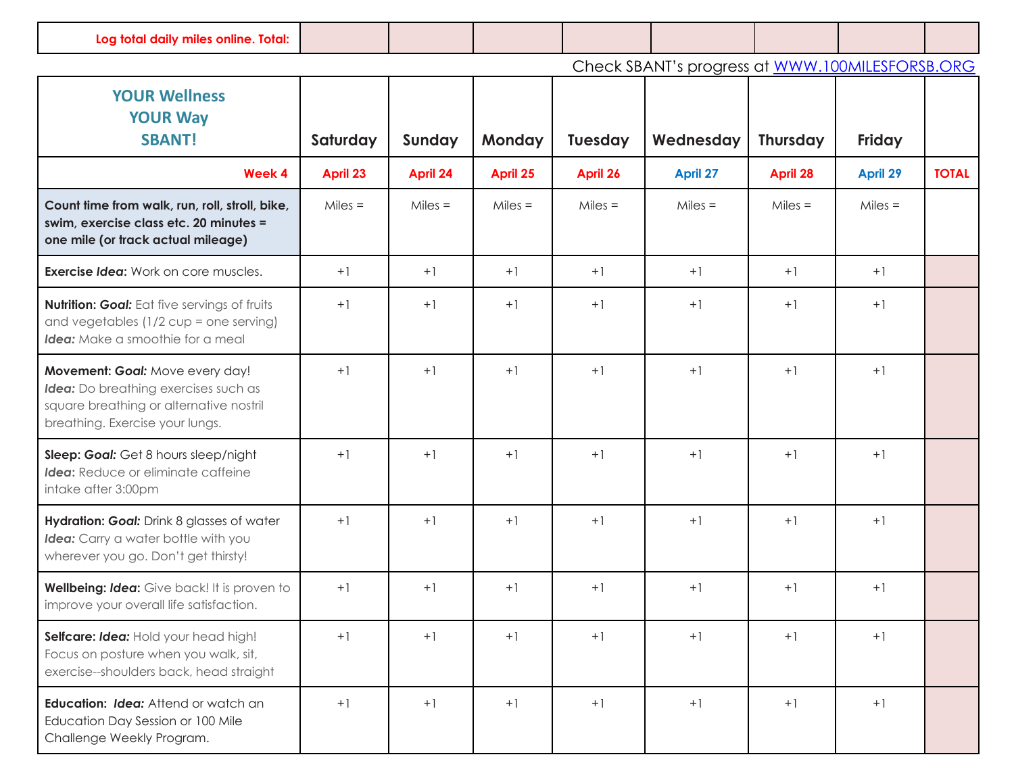**Log total daily miles online. Total:**

## Check SBANT's progress at [WWW.100MILESFORSB.ORG](http://www.100milesforsb.org)

| <b>YOUR Wellness</b><br><b>YOUR Way</b><br><b>SBANT!</b>                                                                                              | Saturday  | Sunday    | <b>Monday</b> | <b>Tuesday</b> | Wednesday | <b>Thursday</b> | <b>Friday</b>   |              |
|-------------------------------------------------------------------------------------------------------------------------------------------------------|-----------|-----------|---------------|----------------|-----------|-----------------|-----------------|--------------|
| Week 4                                                                                                                                                | April 23  | April 24  | April 25      | April 26       | April 27  | April 28        | <b>April 29</b> | <b>TOTAL</b> |
| Count time from walk, run, roll, stroll, bike,<br>swim, exercise class etc. 20 minutes =<br>one mile (or track actual mileage)                        | $Miles =$ | $Miles =$ | $Miles =$     | $Miles =$      | $Miles =$ | $Miles =$       | $Miles =$       |              |
| <b>Exercise Idea:</b> Work on core muscles.                                                                                                           | $+1$      | $+1$      | $+1$          | $+1$           | $+1$      | $+1$            | $+1$            |              |
| Nutrition: Goal: Eat five servings of fruits<br>and vegetables (1/2 cup = one serving)<br><b>Idea:</b> Make a smoothie for a meal                     | $+1$      | $+1$      | $+1$          | $+1$           | $+1$      | $+1$            | $+1$            |              |
| Movement: Goal: Move every day!<br>Idea: Do breathing exercises such as<br>square breathing or alternative nostril<br>breathing. Exercise your lungs. | $+1$      | $+1$      | $+1$          | $+1$           | $+1$      | $+1$            | $+1$            |              |
| Sleep: Goal: Get 8 hours sleep/night<br>Idea: Reduce or eliminate caffeine<br>intake after 3:00pm                                                     | $+1$      | $+1$      | $+1$          | $+1$           | $+1$      | $+1$            | $+1$            |              |
| Hydration: Goal: Drink 8 glasses of water<br>Idea: Carry a water bottle with you<br>wherever you go. Don't get thirsty!                               | $+1$      | $+1$      | $+1$          | $+1$           | $+1$      | $+1$            | $+1$            |              |
| Wellbeing: Idea: Give back! It is proven to<br>improve your overall life satisfaction.                                                                | $+1$      | $+1$      | $+1$          | $+1$           | $+1$      | $+1$            | $+1$            |              |
| Selfcare: Idea: Hold your head high!<br>Focus on posture when you walk, sit,<br>exercise--shoulders back, head straight                               | $+1$      | $+1$      | $+1$          | $+1$           | $+1$      | $+1$            | $+1$            |              |
| <b>Education: Idea: Attend or watch an</b><br>Education Day Session or 100 Mile<br>Challenge Weekly Program.                                          | $+1$      | $+1$      | $+1$          | $+1$           | $+1$      | $+1$            | $+1$            |              |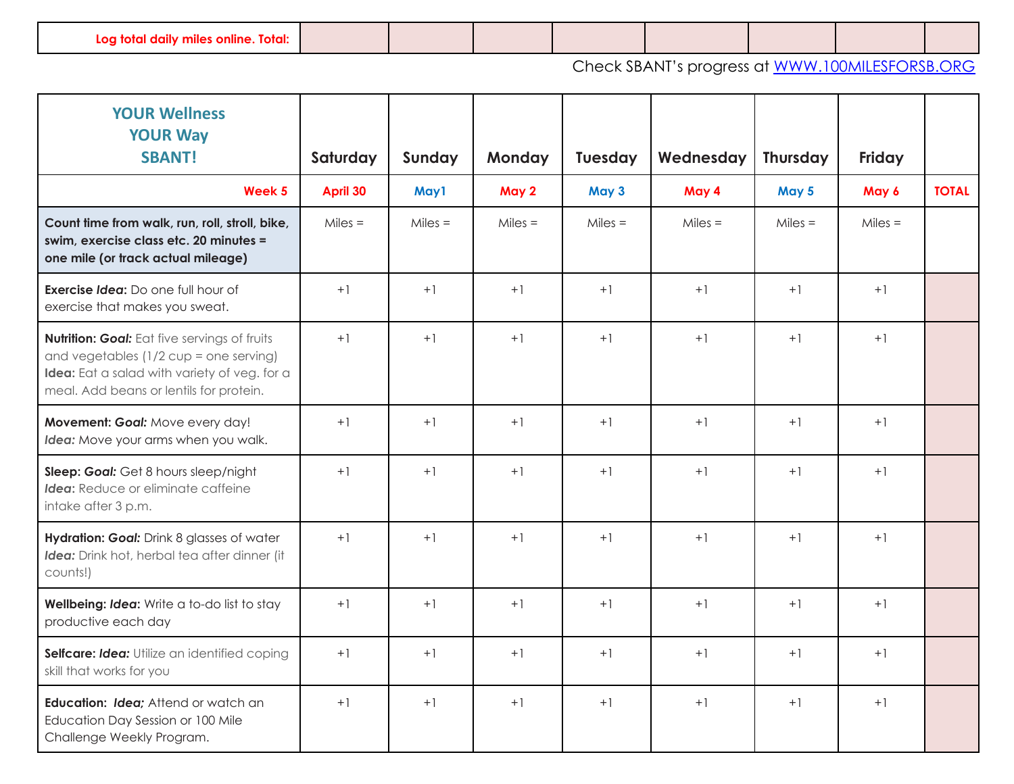## Check SBANT's progress at [WWW.100MILESFORSB.ORG](http://www.100milesforsb.org)

| <b>YOUR Wellness</b><br><b>YOUR Way</b><br><b>SBANT!</b>                                                                                                                          | Saturday  | Sunday    | Monday    | Tuesday   | Wednesday | <b>Thursday</b> | <b>Friday</b> |              |
|-----------------------------------------------------------------------------------------------------------------------------------------------------------------------------------|-----------|-----------|-----------|-----------|-----------|-----------------|---------------|--------------|
| Week 5                                                                                                                                                                            | April 30  | May1      | May 2     | May 3     | May 4     | May 5           | May 6         | <b>TOTAL</b> |
| Count time from walk, run, roll, stroll, bike,<br>swim, exercise class etc. 20 minutes =<br>one mile (or track actual mileage)                                                    | $Miles =$ | $Miles =$ | $Miles =$ | $Miles =$ | $Miles =$ | $Miles =$       | $Miles =$     |              |
| <b>Exercise Idea:</b> Do one full hour of<br>exercise that makes you sweat.                                                                                                       | $+1$      | $+1$      | $+1$      | $+1$      | $+1$      | $+1$            | $+1$          |              |
| Nutrition: Goal: Eat five servings of fruits<br>and vegetables (1/2 cup = one serving)<br>Idea: Eat a salad with variety of veg. for a<br>meal. Add beans or lentils for protein. | $+1$      | $+1$      | $+1$      | $+1$      | $+1$      | $+1$            | $+1$          |              |
| Movement: Goal: Move every day!<br>Idea: Move your arms when you walk.                                                                                                            | $+1$      | $+1$      | $+1$      | $+1$      | $+1$      | $+1$            | $+1$          |              |
| Sleep: Goal: Get 8 hours sleep/night<br>Idea: Reduce or eliminate caffeine<br>intake after 3 p.m.                                                                                 | $+1$      | $+1$      | $+1$      | $+1$      | $+1$      | $+1$            | $+1$          |              |
| Hydration: Goal: Drink 8 glasses of water<br>Idea: Drink hot, herbal tea after dinner (it<br>counts!)                                                                             | $+1$      | $+1$      | $+1$      | $+1$      | $+1$      | $+1$            | $+1$          |              |
| Wellbeing: Idea: Write a to-do list to stay<br>productive each day                                                                                                                | $+1$      | $+1$      | $+1$      | $+1$      | $+1$      | $+1$            | $+1$          |              |
| Selfcare: Idea: Utilize an identified coping<br>skill that works for you                                                                                                          | $+1$      | $+1$      | $+1$      | $+1$      | $+1$      | $+1$            | $+1$          |              |
| Education: Idea; Attend or watch an<br>Education Day Session or 100 Mile<br>Challenge Weekly Program.                                                                             | $+1$      | $+1$      | $+1$      | $+1$      | $+1$      | $+1$            | $+1$          |              |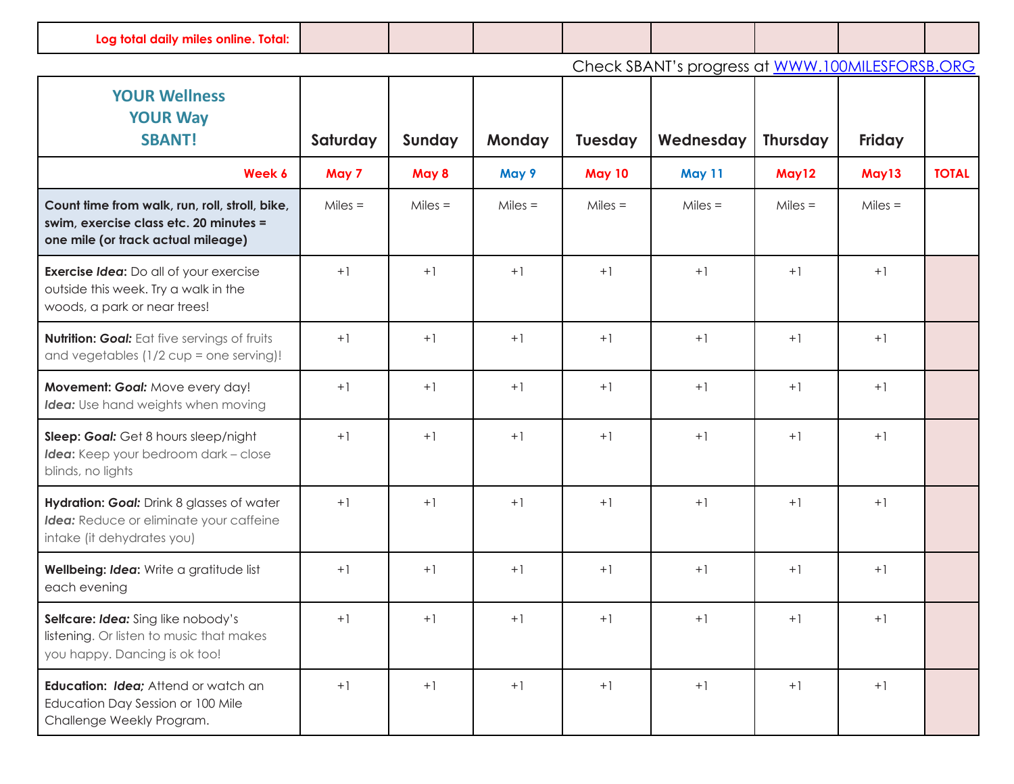**Log total daily miles online. Total:**

## Check SBANT's progress at [WWW.100MILESFORSB.ORG](http://www.100milesforsb.org)

| <b>YOUR Wellness</b><br><b>YOUR Way</b>                                                                                        |           |           |           |               |               |           |               |              |
|--------------------------------------------------------------------------------------------------------------------------------|-----------|-----------|-----------|---------------|---------------|-----------|---------------|--------------|
| <b>SBANT!</b>                                                                                                                  | Saturday  | Sunday    | Monday    | Tuesday       | Wednesday     | Thursday  | <b>Friday</b> |              |
| Week 6                                                                                                                         | May 7     | May 8     | May 9     | <b>May 10</b> | <b>May 11</b> | May12     | May13         | <b>TOTAL</b> |
| Count time from walk, run, roll, stroll, bike,<br>swim, exercise class etc. 20 minutes =<br>one mile (or track actual mileage) | $Miles =$ | $Miles =$ | $Miles =$ | $Miles =$     | $Miles =$     | $Miles =$ | $Miles =$     |              |
| <b>Exercise Idea:</b> Do all of your exercise<br>outside this week. Try a walk in the<br>woods, a park or near trees!          | $+1$      | $+1$      | $+1$      | $+1$          | $+1$          | $+1$      | $+1$          |              |
| <b>Nutrition: Goal:</b> Eat five servings of fruits<br>and vegetables (1/2 cup = one serving)!                                 | $+1$      | $+1$      | $+1$      | $+1$          | $+1$          | $+1$      | $+1$          |              |
| Movement: Goal: Move every day!<br>Idea: Use hand weights when moving                                                          | $+1$      | $+1$      | $+1$      | $+1$          | $+1$          | $+1$      | $+1$          |              |
| Sleep: Goal: Get 8 hours sleep/night<br>Idea: Keep your bedroom dark - close<br>blinds, no lights                              | $+1$      | $+1$      | $+1$      | $+1$          | $+1$          | $+1$      | $+1$          |              |
| Hydration: Goal: Drink 8 glasses of water<br>Idea: Reduce or eliminate your caffeine<br>intake (it dehydrates you)             | $+1$      | $+1$      | $+1$      | $+1$          | $+1$          | $+1$      | $+1$          |              |
| Wellbeing: Idea: Write a gratitude list<br>each evening                                                                        | $+1$      | $+1$      | $+1$      | $+1$          | $+1$          | $+1$      | $+1$          |              |
| Selfcare: Idea: Sing like nobody's<br>listening. Or listen to music that makes<br>you happy. Dancing is ok too!                | $+1$      | $+1$      | $+1$      | $+1$          | $+1$          | $+1$      | $+1$          |              |
| Education: Idea: Attend or watch an<br>Education Day Session or 100 Mile<br>Challenge Weekly Program.                          | $+1$      | $+1$      | $+1$      | $+1$          | $+1$          | $+1$      | $+1$          |              |